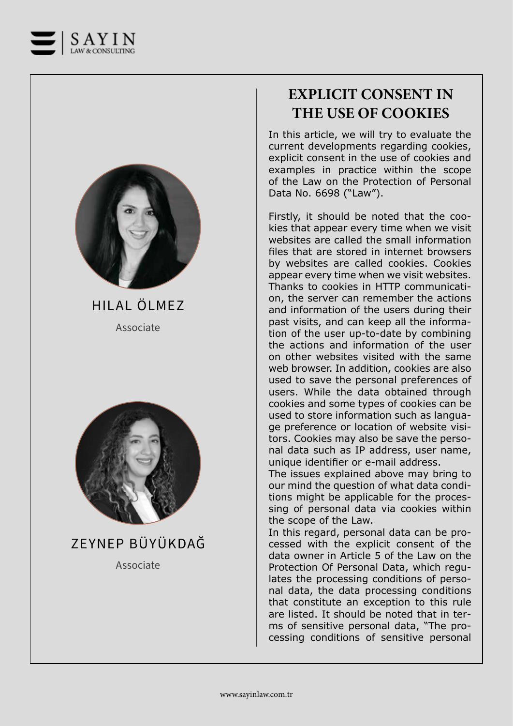



Associate HILAL ÖLMEZ



ZEYNEP BÜYÜKDAĞ

Associate

## **EXPLICIT CONSENT IN THE USE OF COOKIES**

In this article, we will try to evaluate the current developments regarding cookies, explicit consent in the use of cookies and examples in practice within the scope of the Law on the Protection of Personal Data No. 6698 ("Law").

Firstly, it should be noted that the cookies that appear every time when we visit websites are called the small information files that are stored in internet browsers by websites are called cookies. Cookies appear every time when we visit websites. Thanks to cookies in HTTP communication, the server can remember the actions and information of the users during their past visits, and can keep all the information of the user up-to-date by combining the actions and information of the user on other websites visited with the same web browser. In addition, cookies are also used to save the personal preferences of users. While the data obtained through cookies and some types of cookies can be used to store information such as language preference or location of website visitors. Cookies may also be save the personal data such as IP address, user name, unique identifier or e-mail address.

The issues explained above may bring to our mind the question of what data conditions might be applicable for the processing of personal data via cookies within the scope of the Law.

In this regard, personal data can be processed with the explicit consent of the data owner in Article 5 of the Law on the Protection Of Personal Data, which regulates the processing conditions of personal data, the data processing conditions that constitute an exception to this rule are listed. It should be noted that in terms of sensitive personal data, "The processing conditions of sensitive personal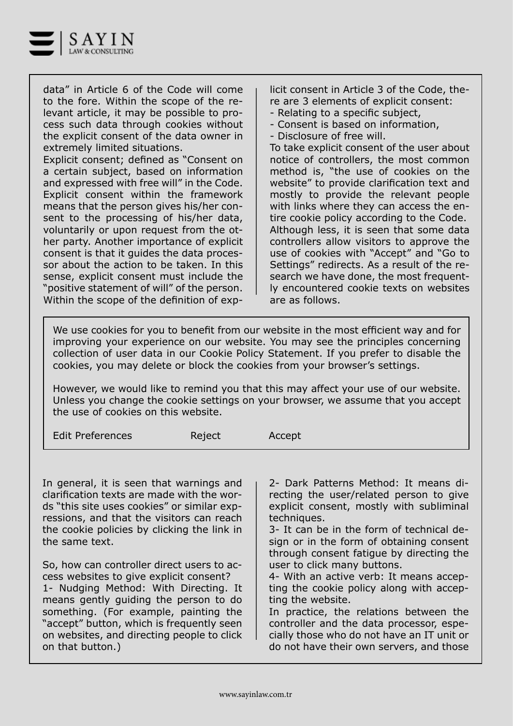

data" in Article 6 of the Code will come to the fore. Within the scope of the relevant article, it may be possible to process such data through cookies without the explicit consent of the data owner in extremely limited situations.

Explicit consent; defined as "Consent on a certain subject, based on information and expressed with free will" in the Code. Explicit consent within the framework means that the person gives his/her consent to the processing of his/her data, voluntarily or upon request from the other party. Another importance of explicit consent is that it guides the data processor about the action to be taken. In this sense, explicit consent must include the "positive statement of will" of the person. Within the scope of the definition of explicit consent in Article 3 of the Code, there are 3 elements of explicit consent:

- Relating to a specific subject,
- Consent is based on information,
- Disclosure of free will.

To take explicit consent of the user about notice of controllers, the most common method is, "the use of cookies on the website" to provide clarification text and mostly to provide the relevant people with links where they can access the entire cookie policy according to the Code. Although less, it is seen that some data controllers allow visitors to approve the use of cookies with "Accept" and "Go to Settings" redirects. As a result of the research we have done, the most frequently encountered cookie texts on websites are as follows.

We use cookies for you to benefit from our website in the most efficient way and for improving your experience on our website. You may see the principles concerning collection of user data in our Cookie Policy Statement. If you prefer to disable the cookies, you may delete or block the cookies from your browser's settings.

However, we would like to remind you that this may affect your use of our website. Unless you change the cookie settings on your browser, we assume that you accept the use of cookies on this website.

Edit Preferences **Reject** Accept

In general, it is seen that warnings and clarification texts are made with the words "this site uses cookies" or similar expressions, and that the visitors can reach the cookie policies by clicking the link in the same text.

So, how can controller direct users to access websites to give explicit consent? 1- Nudging Method: With Directing. It means gently guiding the person to do something. (For example, painting the "accept" button, which is frequently seen on websites, and directing people to click on that button.)

2- Dark Patterns Method: It means directing the user/related person to give explicit consent, mostly with subliminal techniques.

3- It can be in the form of technical design or in the form of obtaining consent through consent fatigue by directing the user to click many buttons.

4- With an active verb: It means accepting the cookie policy along with accepting the website.

In practice, the relations between the controller and the data processor, especially those who do not have an IT unit or do not have their own servers, and those